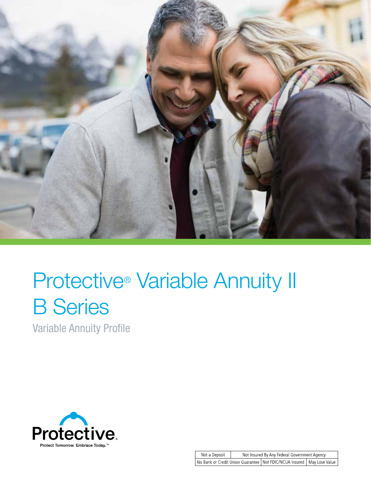

# **Protective<sup>®</sup> Variable Annuity II** B Series

Variable Annuity Profile

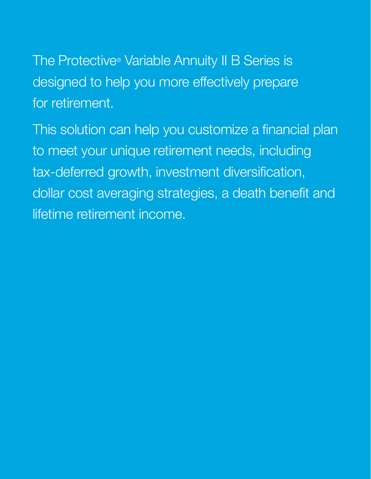The Protective<sup>®</sup> Variable Annuity II B Series is designed to help you more effectively prepare for retirement.

This solution can help you customize a financial plan to meet your unique retirement needs, including tax-deferred growth, investment diversification, dollar cost averaging strategies, a death benefit and lifetime retirement income.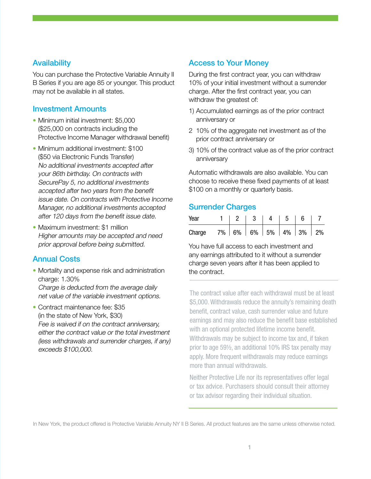## **Availability**

You can purchase the Protective Variable Annuity II B Series if you are age 85 or younger. This product may not be available in all states.

### Investment Amounts

- Minimum initial investment: \$5,000 (\$25,000 on contracts including the Protective Income Manager withdrawal benefit)
- Minimum additional investment: \$100 (\$50 via Electronic Funds Transfer) No additional investments accepted after your 86th birthday. On contracts with SecurePay 5, no additional investments accepted after two years from the benefit issue date. On contracts with Protective Income Manager, no additional investments accepted after 120 days from the benefit issue date.
- Maximum investment: \$1 million Higher amounts may be accepted and need prior approval before being submitted.

## Annual Costs

- Mortality and expense risk and administration charge: 1.30% Charge is deducted from the average daily net value of the variable investment options.
- Contract maintenance fee: \$35 (in the state of New York, \$30) Fee is waived if on the contract anniversary, either the contract value or the total investment (less withdrawals and surrender charges, if any) exceeds \$100,000.

## Access to Your Money

During the first contract year, you can withdraw 10% of your initial investment without a surrender charge. After the first contract year, you can withdraw the greatest of:

- 1) Accumulated earnings as of the prior contract anniversary or
- 2 10% of the aggregate net investment as of the prior contract anniversary or
- 3) 10% of the contract value as of the prior contract anniversary

Automatic withdrawals are also available. You can choose to receive these fixed payments of at least \$100 on a monthly or quarterly basis.

## Surrender Charges

| Year   | $\begin{array}{ccc} \end{array}$   2 |                         | 3   4 | 51 |  |
|--------|--------------------------------------|-------------------------|-------|----|--|
| Charge |                                      | $7\%$ 6% 6% 5% 4% 3% 2% |       |    |  |

You have full access to each investment and any earnings attributed to it without a surrender charge seven years after it has been applied to the contract.

The contract value after each withdrawal must be at least \$5,000. Withdrawals reduce the annuity's remaining death benefit, contract value, cash surrender value and future earnings and may also reduce the benefit base established with an optional protected lifetime income benefit. Withdrawals may be subject to income tax and, if taken prior to age 59½, an additional 10% IRS tax penalty may apply. More frequent withdrawals may reduce earnings more than annual withdrawals.

Neither Protective Life nor its representatives offer legal or tax advice. Purchasers should consult their attorney or tax advisor regarding their individual situation.

In New York, the product offered is Protective Variable Annuity NY II B Series. All product features are the same unless otherwise noted.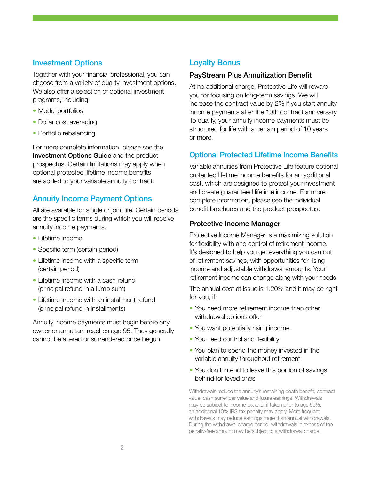## Investment Options

Together with your financial professional, you can choose from a variety of quality investment options. We also offer a selection of optional investment programs, including:

- Model portfolios
- Dollar cost averaging
- Portfolio rebalancing

For more complete information, please see the Investment Options Guide and the product prospectus. Certain limitations may apply when optional protected lifetime income benefits are added to your variable annuity contract.

## Annuity Income Payment Options

All are available for single or joint life. Certain periods are the specific terms during which you will receive annuity income payments.

- Lifetime income
- Specific term (certain period)
- Lifetime income with a specific term (certain period)
- Lifetime income with a cash refund (principal refund in a lump sum)
- Lifetime income with an installment refund (principal refund in installments)

Annuity income payments must begin before any owner or annuitant reaches age 95. They generally cannot be altered or surrendered once begun.

## Loyalty Bonus

#### PayStream Plus Annuitization Benefit

At no additional charge, Protective Life will reward you for focusing on long-term savings. We will increase the contract value by 2% if you start annuity income payments after the 10th contract anniversary. To qualify, your annuity income payments must be structured for life with a certain period of 10 years or more.

## Optional Protected Lifetime Income Benefits

Variable annuities from Protective Life feature optional protected lifetime income benefits for an additional cost, which are designed to protect your investment and create guaranteed lifetime income. For more complete information, please see the individual benefit brochures and the product prospectus.

#### Protective Income Manager

Protective Income Manager is a maximizing solution for flexibility with and control of retirement income. It's designed to help you get everything you can out of retirement savings, with opportunities for rising income and adjustable withdrawal amounts. Your retirement income can change along with your needs.

The annual cost at issue is 1.20% and it may be right for you, if:

- You need more retirement income than other withdrawal options offer
- You want potentially rising income
- You need control and flexibility
- You plan to spend the money invested in the variable annuity throughout retirement
- You don't intend to leave this portion of savings behind for loved ones

Withdrawals reduce the annuity's remaining death benefit, contract value, cash surrender value and future earnings. Withdrawals may be subject to income tax and, if taken prior to age 59½, an additional 10% IRS tax penalty may apply. More frequent withdrawals may reduce earnings more than annual withdrawals. During the withdrawal charge period, withdrawals in excess of the penalty-free amount may be subject to a withdrawal charge.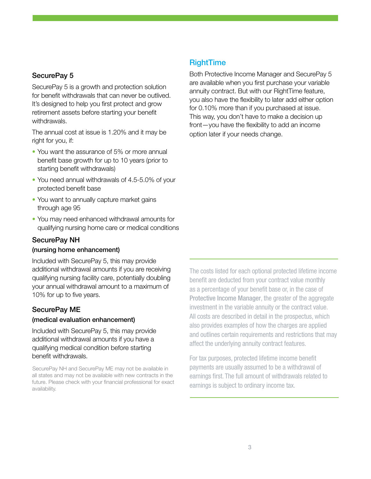#### SecurePay 5

SecurePay 5 is a growth and protection solution for benefit withdrawals that can never be outlived. It's designed to help you first protect and grow retirement assets before starting your benefit withdrawals.

The annual cost at issue is 1.20% and it may be right for you, if:

- You want the assurance of 5% or more annual benefit base growth for up to 10 years (prior to starting benefit withdrawals)
- You need annual withdrawals of 4.5-5.0% of your protected benefit base
- You want to annually capture market gains through age 95
- You may need enhanced withdrawal amounts for qualifying nursing home care or medical conditions

#### SecurePay NH

#### (nursing home enhancement)

Included with SecurePay 5, this may provide additional withdrawal amounts if you are receiving qualifying nursing facility care, potentially doubling your annual withdrawal amount to a maximum of 10% for up to five years.

#### SecurePay ME

#### (medical evaluation enhancement)

Included with SecurePay 5, this may provide additional withdrawal amounts if you have a qualifying medical condition before starting benefit withdrawals.

SecurePay NH and SecurePay ME may not be available in all states and may not be available with new contracts in the future. Please check with your financial professional for exact availability.

## **RightTime**

Both Protective Income Manager and SecurePay 5 are available when you first purchase your variable annuity contract. But with our RightTime feature, you also have the flexibility to later add either option for 0.10% more than if you purchased at issue. This way, you don't have to make a decision up front—you have the flexibility to add an income option later if your needs change.

The costs listed for each optional protected lifetime income benefit are deducted from your contract value monthly as a percentage of your benefit base or, in the case of Protective Income Manager, the greater of the aggregate investment in the variable annuity or the contract value. All costs are described in detail in the prospectus, which also provides examples of how the charges are applied and outlines certain requirements and restrictions that may affect the underlying annuity contract features.

For tax purposes, protected lifetime income benefit payments are usually assumed to be a withdrawal of earnings first. The full amount of withdrawals related to earnings is subject to ordinary income tax.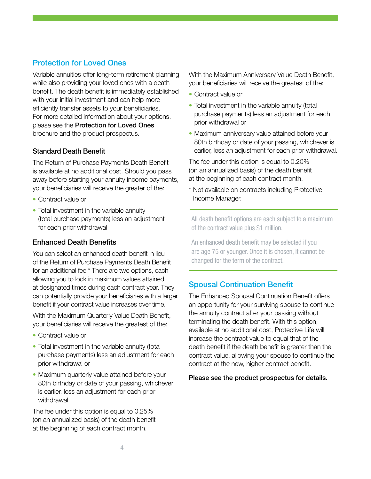## Protection for Loved Ones

Variable annuities offer long-term retirement planning while also providing your loved ones with a death benefit. The death benefit is immediately established with your initial investment and can help more efficiently transfer assets to your beneficiaries. For more detailed information about your options, please see the Protection for Loved Ones brochure and the product prospectus.

## Standard Death Benefit

The Return of Purchase Payments Death Benefit is available at no additional cost. Should you pass away before starting your annuity income payments, your beneficiaries will receive the greater of the:

- Contract value or
- Total investment in the variable annuity (total purchase payments) less an adjustment for each prior withdrawal

## Enhanced Death Benefits

You can select an enhanced death benefit in lieu of the Return of Purchase Payments Death Benefit for an additional fee.\* There are two options, each allowing you to lock in maximum values attained at designated times during each contract year. They can potentially provide your beneficiaries with a larger benefit if your contract value increases over time.

With the Maximum Quarterly Value Death Benefit, your beneficiaries will receive the greatest of the:

- Contract value or
- Total investment in the variable annuity (total purchase payments) less an adjustment for each prior withdrawal or
- Maximum quarterly value attained before your 80th birthday or date of your passing, whichever is earlier, less an adjustment for each prior withdrawal

The fee under this option is equal to 0.25% (on an annualized basis) of the death benefit at the beginning of each contract month.

With the Maximum Anniversary Value Death Benefit, your beneficiaries will receive the greatest of the:

- Contract value or
- Total investment in the variable annuity (total purchase payments) less an adjustment for each prior withdrawal or
- Maximum anniversary value attained before your 80th birthday or date of your passing, whichever is earlier, less an adjustment for each prior withdrawal.

The fee under this option is equal to 0.20% (on an annualized basis) of the death benefit at the beginning of each contract month.

\* Not available on contracts including Protective Income Manager.

All death benefit options are each subject to a maximum of the contract value plus \$1 million.

An enhanced death benefit may be selected if you are age 75 or younger. Once it is chosen, it cannot be changed for the term of the contract.

## Spousal Continuation Benefit

The Enhanced Spousal Continuation Benefit offers an opportunity for your surviving spouse to continue the annuity contract after your passing without terminating the death benefit. With this option, available at no additional cost, Protective Life will increase the contract value to equal that of the death benefit if the death benefit is greater than the contract value, allowing your spouse to continue the contract at the new, higher contract benefit.

#### Please see the product prospectus for details.